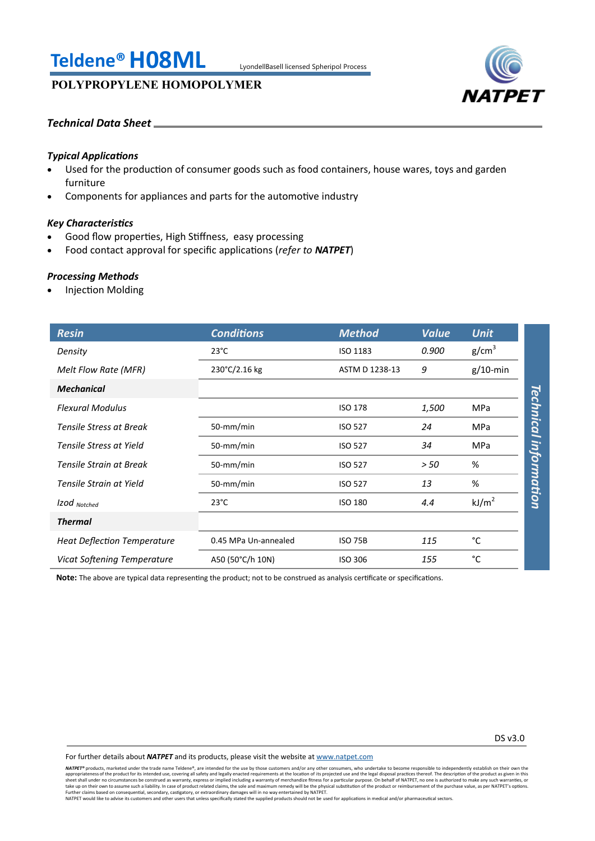# **Teldene®H08ML** LyondellBasell licensed Spheripol Process

# **POLYPROPYLENE HOMOPOLYMER**



## *Technical Data Sheet*

## *Typical Applications*

- Used for the production of consumer goods such as food containers, house wares, toys and garden furniture
- Components for appliances and parts for the automotive industry

## *Key Characteristics*

- Good flow properties, High Stiffness, easy processing
- Food contact approval for specific applications (*refer to NATPET*)

## *Processing Methods*

Injection Molding

| <b>Resin</b>                       | <b>Conditions</b>    | <b>Method</b>  | <b>Value</b> | <b>Unit</b>             |
|------------------------------------|----------------------|----------------|--------------|-------------------------|
| Density                            | $23^{\circ}$ C       | ISO 1183       | 0.900        | g/cm <sup>3</sup>       |
| Melt Flow Rate (MFR)               | 230°C/2.16 kg        | ASTM D 1238-13 | 9            | $g/10$ -min             |
| <b>Mechanical</b>                  |                      |                |              |                         |
| <b>Flexural Modulus</b>            |                      | <b>ISO 178</b> | 1,500        | <b>MPa</b>              |
| <b>Tensile Stress at Break</b>     | 50-mm/min            | <b>ISO 527</b> | 24           | <b>Technical</b><br>MPa |
| Tensile Stress at Yield            | 50-mm/min            | <b>ISO 527</b> | 34           | MPa                     |
| Tensile Strain at Break            | 50-mm/min            | <b>ISO 527</b> | > 50         | information<br>%        |
| Tensile Strain at Yield            | 50-mm/min            | <b>ISO 527</b> | 13           | %                       |
| Izod Notched                       | $23^{\circ}$ C       | <b>ISO 180</b> | 4.4          | kJ/m <sup>2</sup>       |
| <b>Thermal</b>                     |                      |                |              |                         |
| <b>Heat Deflection Temperature</b> | 0.45 MPa Un-annealed | <b>ISO 75B</b> | 115          | °C                      |
| <b>Vicat Softening Temperature</b> | A50 (50°C/h 10N)     | <b>ISO 306</b> | 155          | °C                      |

**Note:** The above are typical data representing the product; not to be construed as analysis certificate or specifications.

For further details about *NATPET* and its products, please visit the website at [www.natpet.com](http://www.natpet.com)

**NATPET®** products, marketed under the trade name Teldene®, are intended for the use by those customers and/or any other consumers, who undertake to become responsible to independently establish on their own the trade name